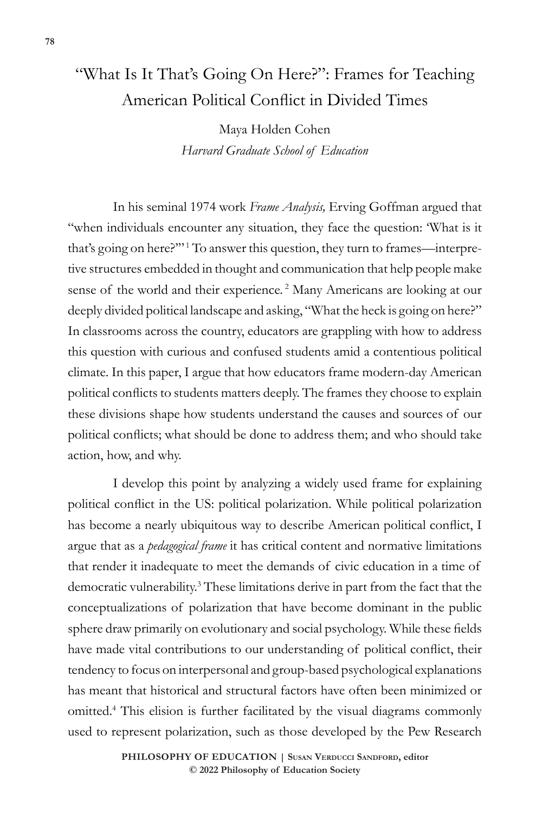## "What Is It That's Going On Here?": Frames for Teaching American Political Conflict in Divided Times

Maya Holden Cohen *Harvard Graduate School of Education*

In his seminal 1974 work *Frame Analysis,* Erving Goffman argued that "when individuals encounter any situation, they face the question: 'What is it that's going on here?"<sup>"1</sup> To answer this question, they turn to frames—interpretive structures embedded in thought and communication that help people make sense of the world and their experience.<sup>2</sup> Many Americans are looking at our deeply divided political landscape and asking, "What the heck is going on here?" In classrooms across the country, educators are grappling with how to address this question with curious and confused students amid a contentious political climate. In this paper, I argue that how educators frame modern-day American political conflicts to students matters deeply. The frames they choose to explain these divisions shape how students understand the causes and sources of our political conflicts; what should be done to address them; and who should take action, how, and why.

I develop this point by analyzing a widely used frame for explaining political conflict in the US: political polarization. While political polarization has become a nearly ubiquitous way to describe American political conflict, I argue that as a *pedagogical frame* it has critical content and normative limitations that render it inadequate to meet the demands of civic education in a time of democratic vulnerability.<sup>3</sup> These limitations derive in part from the fact that the conceptualizations of polarization that have become dominant in the public sphere draw primarily on evolutionary and social psychology. While these fields have made vital contributions to our understanding of political conflict, their tendency to focus on interpersonal and group-based psychological explanations has meant that historical and structural factors have often been minimized or omitted.<sup>4</sup> This elision is further facilitated by the visual diagrams commonly used to represent polarization, such as those developed by the Pew Research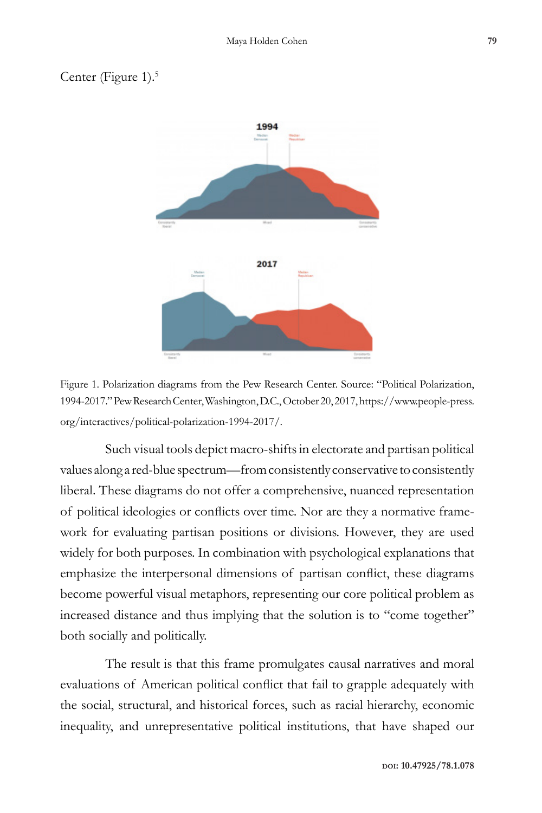## Center (Figure 1).<sup>5</sup>



Figure 1. Polarization diagrams from the Pew Research Center. Source: "Political Polarization, 1994-2017." Pew Research Center, Washington, D.C., October 20, 2017, https://www.people-press. org/interactives/political-polarization-1994-2017/.

Such visual tools depict macro-shifts in electorate and partisan political values along a red-blue spectrum—from consistently conservative to consistently liberal. These diagrams do not offer a comprehensive, nuanced representation of political ideologies or conflicts over time. Nor are they a normative framework for evaluating partisan positions or divisions. However, they are used widely for both purposes. In combination with psychological explanations that emphasize the interpersonal dimensions of partisan conflict, these diagrams become powerful visual metaphors, representing our core political problem as increased distance and thus implying that the solution is to "come together" both socially and politically.

The result is that this frame promulgates causal narratives and moral evaluations of American political conflict that fail to grapple adequately with the social, structural, and historical forces, such as racial hierarchy, economic inequality, and unrepresentative political institutions, that have shaped our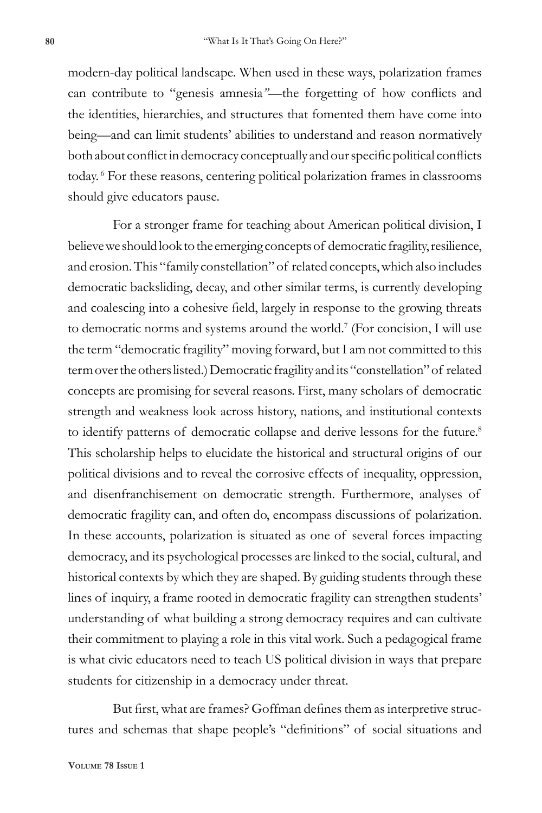modern-day political landscape. When used in these ways, polarization frames can contribute to "genesis amnesia*"*—the forgetting of how conflicts and the identities, hierarchies, and structures that fomented them have come into being—and can limit students' abilities to understand and reason normatively both about conflict in democracy conceptually and our specific political conflicts today. <sup>6</sup> For these reasons, centering political polarization frames in classrooms should give educators pause.

For a stronger frame for teaching about American political division, I believe we should look to the emerging concepts of democratic fragility, resilience, and erosion. This "family constellation" of related concepts, which also includes democratic backsliding, decay, and other similar terms, is currently developing and coalescing into a cohesive field, largely in response to the growing threats to democratic norms and systems around the world.<sup>7</sup> (For concision, I will use the term "democratic fragility" moving forward, but I am not committed to this term over the others listed.) Democratic fragility and its "constellation" of related concepts are promising for several reasons. First, many scholars of democratic strength and weakness look across history, nations, and institutional contexts to identify patterns of democratic collapse and derive lessons for the future.<sup>8</sup> This scholarship helps to elucidate the historical and structural origins of our political divisions and to reveal the corrosive effects of inequality, oppression, and disenfranchisement on democratic strength. Furthermore, analyses of democratic fragility can, and often do, encompass discussions of polarization. In these accounts, polarization is situated as one of several forces impacting democracy, and its psychological processes are linked to the social, cultural, and historical contexts by which they are shaped. By guiding students through these lines of inquiry, a frame rooted in democratic fragility can strengthen students' understanding of what building a strong democracy requires and can cultivate their commitment to playing a role in this vital work. Such a pedagogical frame is what civic educators need to teach US political division in ways that prepare students for citizenship in a democracy under threat.

But first, what are frames? Goffman defines them as interpretive structures and schemas that shape people's "definitions" of social situations and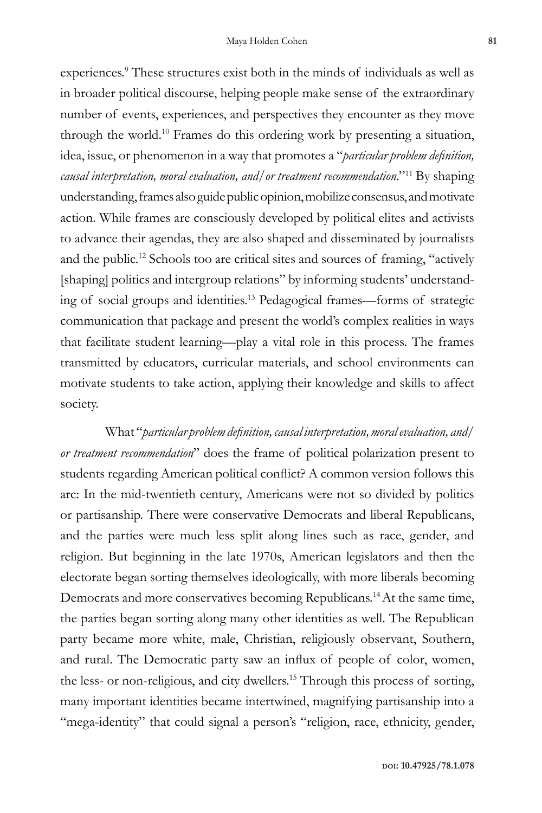experiences.<sup>9</sup> These structures exist both in the minds of individuals as well as in broader political discourse, helping people make sense of the extraordinary number of events, experiences, and perspectives they encounter as they move through the world.<sup>10</sup> Frames do this ordering work by presenting a situation, idea, issue, or phenomenon in a way that promotes a "*particular problem definition, causal interpretation, moral evaluation, and/or treatment recommendation*."<sup>11</sup> By shaping understanding, frames also guide public opinion, mobilize consensus, and motivate action. While frames are consciously developed by political elites and activists to advance their agendas, they are also shaped and disseminated by journalists and the public.<sup>12</sup> Schools too are critical sites and sources of framing, "actively [shaping] politics and intergroup relations" by informing students' understanding of social groups and identities.<sup>13</sup> Pedagogical frames—forms of strategic communication that package and present the world's complex realities in ways that facilitate student learning—play a vital role in this process. The frames transmitted by educators, curricular materials, and school environments can motivate students to take action, applying their knowledge and skills to affect society.

What "*particular problem definition, causal interpretation, moral evaluation, and/ or treatment recommendation*" does the frame of political polarization present to students regarding American political conflict? A common version follows this arc: In the mid-twentieth century, Americans were not so divided by politics or partisanship. There were conservative Democrats and liberal Republicans, and the parties were much less split along lines such as race, gender, and religion. But beginning in the late 1970s, American legislators and then the electorate began sorting themselves ideologically, with more liberals becoming Democrats and more conservatives becoming Republicans.<sup>14</sup> At the same time, the parties began sorting along many other identities as well. The Republican party became more white, male, Christian, religiously observant, Southern, and rural. The Democratic party saw an influx of people of color, women, the less- or non-religious, and city dwellers.<sup>15</sup> Through this process of sorting, many important identities became intertwined, magnifying partisanship into a "mega-identity" that could signal a person's "religion, race, ethnicity, gender,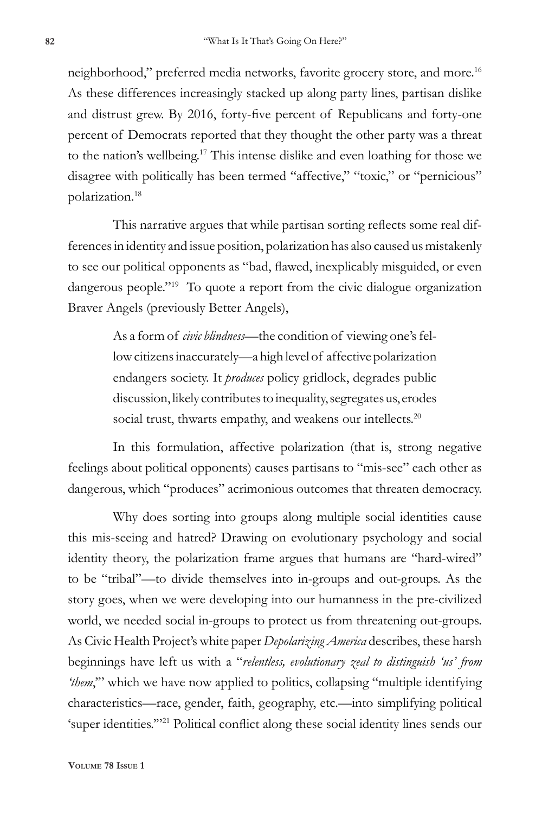neighborhood," preferred media networks, favorite grocery store, and more.<sup>16</sup> As these differences increasingly stacked up along party lines, partisan dislike and distrust grew. By 2016, forty-five percent of Republicans and forty-one percent of Democrats reported that they thought the other party was a threat to the nation's wellbeing.<sup>17</sup> This intense dislike and even loathing for those we disagree with politically has been termed "affective," "toxic," or "pernicious" polarization.<sup>18</sup>

This narrative argues that while partisan sorting reflects some real differences in identity and issue position, polarization has also caused us mistakenly to see our political opponents as "bad, flawed, inexplicably misguided, or even dangerous people."<sup>19</sup> To quote a report from the civic dialogue organization Braver Angels (previously Better Angels),

> As a form of *civic blindness—*the condition of viewing one's fellow citizens inaccurately—a high level of affective polarization endangers society. It *produces* policy gridlock, degrades public discussion, likely contributes to inequality, segregates us, erodes social trust, thwarts empathy, and weakens our intellects.<sup>20</sup>

In this formulation, affective polarization (that is, strong negative feelings about political opponents) causes partisans to "mis-see" each other as dangerous, which "produces" acrimonious outcomes that threaten democracy.

Why does sorting into groups along multiple social identities cause this mis-seeing and hatred? Drawing on evolutionary psychology and social identity theory, the polarization frame argues that humans are "hard-wired" to be "tribal"—to divide themselves into in-groups and out-groups. As the story goes, when we were developing into our humanness in the pre-civilized world, we needed social in-groups to protect us from threatening out-groups. As Civic Health Project's white paper *Depolarizing America* describes, these harsh beginnings have left us with a "*relentless, evolutionary zeal to distinguish 'us' from*  'them," which we have now applied to politics, collapsing "multiple identifying characteristics—race, gender, faith, geography, etc.—into simplifying political 'super identities.'"21 Political conflict along these social identity lines sends our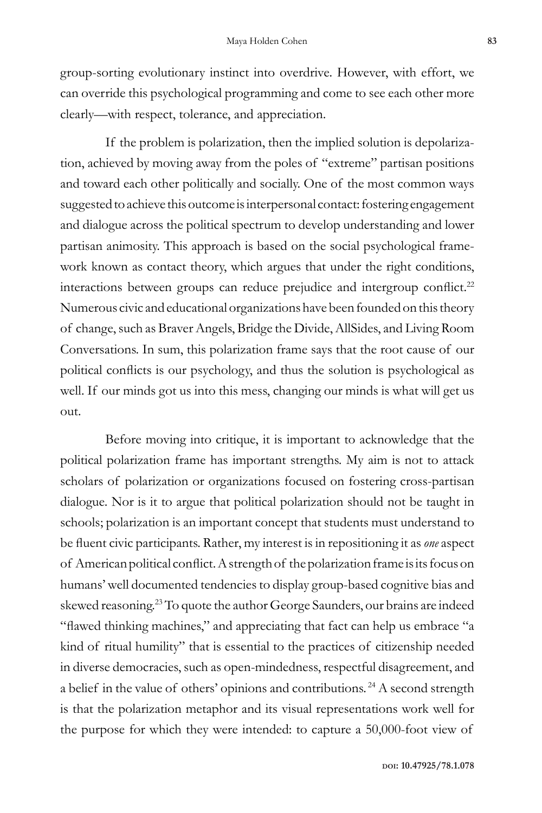group-sorting evolutionary instinct into overdrive. However, with effort, we can override this psychological programming and come to see each other more clearly—with respect, tolerance, and appreciation.

If the problem is polarization, then the implied solution is depolarization, achieved by moving away from the poles of "extreme" partisan positions and toward each other politically and socially. One of the most common ways suggested to achieve this outcome is interpersonal contact: fostering engagement and dialogue across the political spectrum to develop understanding and lower partisan animosity. This approach is based on the social psychological framework known as contact theory, which argues that under the right conditions, interactions between groups can reduce prejudice and intergroup conflict. $22$ Numerous civic and educational organizations have been founded on this theory of change, such as Braver Angels, Bridge the Divide, AllSides, and Living Room Conversations. In sum, this polarization frame says that the root cause of our political conflicts is our psychology, and thus the solution is psychological as well. If our minds got us into this mess, changing our minds is what will get us out.

Before moving into critique, it is important to acknowledge that the political polarization frame has important strengths. My aim is not to attack scholars of polarization or organizations focused on fostering cross-partisan dialogue. Nor is it to argue that political polarization should not be taught in schools; polarization is an important concept that students must understand to be fluent civic participants. Rather, my interest is in repositioning it as *one* aspect of American political conflict. A strength of the polarization frame is its focus on humans' well documented tendencies to display group-based cognitive bias and skewed reasoning.<sup>23</sup> To quote the author George Saunders, our brains are indeed "flawed thinking machines," and appreciating that fact can help us embrace "a kind of ritual humility" that is essential to the practices of citizenship needed in diverse democracies, such as open-mindedness, respectful disagreement, and a belief in the value of others' opinions and contributions. <sup>24</sup> A second strength is that the polarization metaphor and its visual representations work well for the purpose for which they were intended: to capture a 50,000-foot view of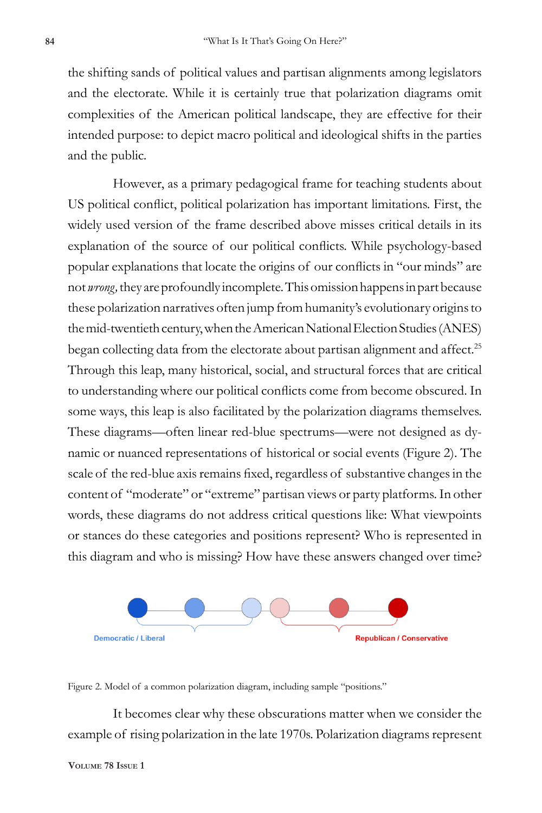the shifting sands of political values and partisan alignments among legislators and the electorate. While it is certainly true that polarization diagrams omit complexities of the American political landscape, they are effective for their intended purpose: to depict macro political and ideological shifts in the parties and the public.

However, as a primary pedagogical frame for teaching students about US political conflict, political polarization has important limitations. First, the widely used version of the frame described above misses critical details in its explanation of the source of our political conflicts. While psychology-based popular explanations that locate the origins of our conflicts in "our minds" are not *wrong,* they are profoundly incomplete. This omission happens in part because these polarization narratives often jump from humanity's evolutionary origins to the mid-twentieth century, when the American National Election Studies (ANES) began collecting data from the electorate about partisan alignment and affect.<sup>25</sup> Through this leap, many historical, social, and structural forces that are critical to understanding where our political conflicts come from become obscured. In some ways, this leap is also facilitated by the polarization diagrams themselves. These diagrams—often linear red-blue spectrums—were not designed as dynamic or nuanced representations of historical or social events (Figure 2). The scale of the red-blue axis remains fixed, regardless of substantive changes in the content of "moderate" or "extreme" partisan views or party platforms. In other words, these diagrams do not address critical questions like: What viewpoints or stances do these categories and positions represent? Who is represented in this diagram and who is missing? How have these answers changed over time?



Figure 2. Model of a common polarization diagram, including sample "positions."

It becomes clear why these obscurations matter when we consider the example of rising polarization in the late 1970s. Polarization diagrams represent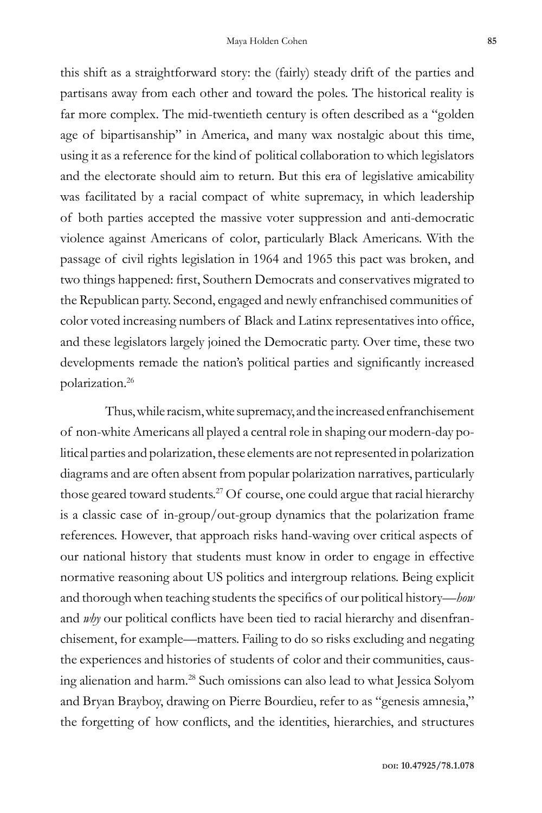this shift as a straightforward story: the (fairly) steady drift of the parties and partisans away from each other and toward the poles. The historical reality is far more complex. The mid-twentieth century is often described as a "golden age of bipartisanship" in America, and many wax nostalgic about this time, using it as a reference for the kind of political collaboration to which legislators and the electorate should aim to return. But this era of legislative amicability was facilitated by a racial compact of white supremacy, in which leadership of both parties accepted the massive voter suppression and anti-democratic violence against Americans of color, particularly Black Americans. With the passage of civil rights legislation in 1964 and 1965 this pact was broken, and two things happened: first, Southern Democrats and conservatives migrated to the Republican party. Second, engaged and newly enfranchised communities of color voted increasing numbers of Black and Latinx representatives into office, and these legislators largely joined the Democratic party. Over time, these two developments remade the nation's political parties and significantly increased polarization.<sup>26</sup>

Thus, while racism, white supremacy, and the increased enfranchisement of non-white Americans all played a central role in shaping our modern-day political parties and polarization, these elements are not represented in polarization diagrams and are often absent from popular polarization narratives, particularly those geared toward students.<sup>27</sup> Of course, one could argue that racial hierarchy is a classic case of in-group/out-group dynamics that the polarization frame references. However, that approach risks hand-waving over critical aspects of our national history that students must know in order to engage in effective normative reasoning about US politics and intergroup relations. Being explicit and thorough when teaching students the specifics of our political history—*how*  and *why* our political conflicts have been tied to racial hierarchy and disenfranchisement, for example—matters. Failing to do so risks excluding and negating the experiences and histories of students of color and their communities, causing alienation and harm.<sup>28</sup> Such omissions can also lead to what Jessica Solyom and Bryan Brayboy, drawing on Pierre Bourdieu, refer to as "genesis amnesia," the forgetting of how conflicts, and the identities, hierarchies, and structures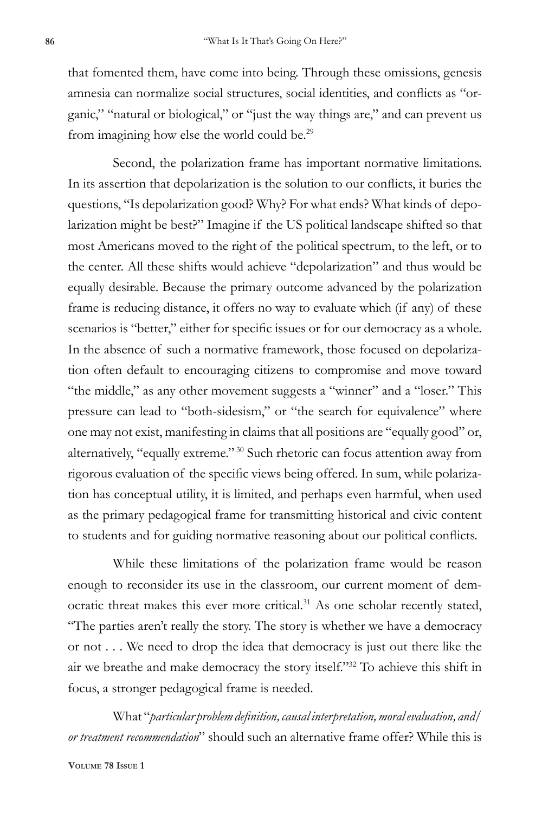that fomented them, have come into being. Through these omissions, genesis amnesia can normalize social structures, social identities, and conflicts as "organic," "natural or biological," or "just the way things are," and can prevent us from imagining how else the world could be.<sup>29</sup>

Second, the polarization frame has important normative limitations. In its assertion that depolarization is the solution to our conflicts, it buries the questions, "Is depolarization good? Why? For what ends? What kinds of depolarization might be best?" Imagine if the US political landscape shifted so that most Americans moved to the right of the political spectrum, to the left, or to the center. All these shifts would achieve "depolarization" and thus would be equally desirable. Because the primary outcome advanced by the polarization frame is reducing distance, it offers no way to evaluate which (if any) of these scenarios is "better," either for specific issues or for our democracy as a whole. In the absence of such a normative framework, those focused on depolarization often default to encouraging citizens to compromise and move toward "the middle," as any other movement suggests a "winner" and a "loser." This pressure can lead to "both-sidesism," or "the search for equivalence" where one may not exist, manifesting in claims that all positions are "equally good" or, alternatively, "equally extreme." <sup>30</sup> Such rhetoric can focus attention away from rigorous evaluation of the specific views being offered. In sum, while polarization has conceptual utility, it is limited, and perhaps even harmful, when used as the primary pedagogical frame for transmitting historical and civic content to students and for guiding normative reasoning about our political conflicts.

While these limitations of the polarization frame would be reason enough to reconsider its use in the classroom, our current moment of democratic threat makes this ever more critical.<sup>31</sup> As one scholar recently stated, "The parties aren't really the story. The story is whether we have a democracy or not . . . We need to drop the idea that democracy is just out there like the air we breathe and make democracy the story itself."<sup>32</sup> To achieve this shift in focus, a stronger pedagogical frame is needed.

What "*particular problem definition, causal interpretation, moral evaluation, and/ or treatment recommendation*" should such an alternative frame offer? While this is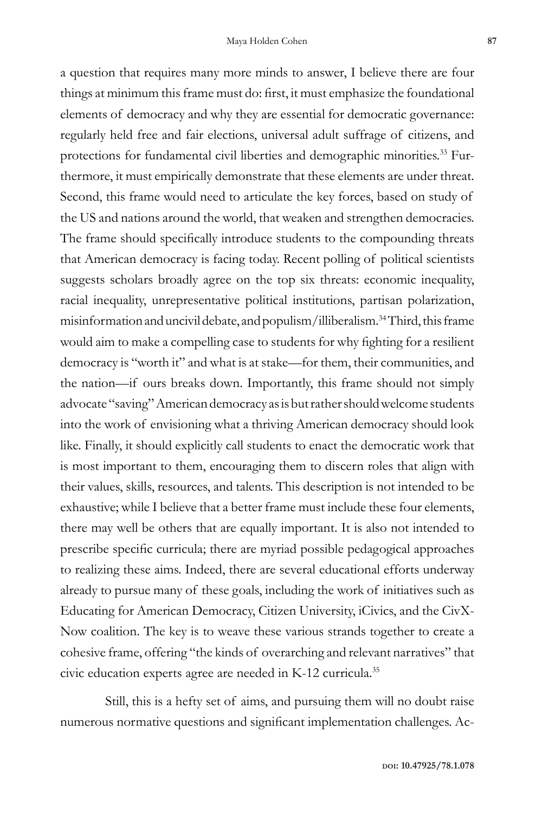a question that requires many more minds to answer, I believe there are four

things at minimum this frame must do: first, it must emphasize the foundational elements of democracy and why they are essential for democratic governance: regularly held free and fair elections, universal adult suffrage of citizens, and protections for fundamental civil liberties and demographic minorities.<sup>33</sup> Furthermore, it must empirically demonstrate that these elements are under threat. Second, this frame would need to articulate the key forces, based on study of the US and nations around the world, that weaken and strengthen democracies. The frame should specifically introduce students to the compounding threats that American democracy is facing today. Recent polling of political scientists suggests scholars broadly agree on the top six threats: economic inequality, racial inequality, unrepresentative political institutions, partisan polarization, misinformation and uncivil debate, and populism/illiberalism.<sup>34</sup> Third, this frame would aim to make a compelling case to students for why fighting for a resilient democracy is "worth it" and what is at stake—for them, their communities, and the nation—if ours breaks down. Importantly, this frame should not simply advocate "saving" American democracy as is but rather should welcome students into the work of envisioning what a thriving American democracy should look like. Finally, it should explicitly call students to enact the democratic work that is most important to them, encouraging them to discern roles that align with their values, skills, resources, and talents. This description is not intended to be exhaustive; while I believe that a better frame must include these four elements, there may well be others that are equally important. It is also not intended to prescribe specific curricula; there are myriad possible pedagogical approaches to realizing these aims. Indeed, there are several educational efforts underway already to pursue many of these goals, including the work of initiatives such as Educating for American Democracy, Citizen University, iCivics, and the CivX-Now coalition. The key is to weave these various strands together to create a cohesive frame, offering "the kinds of overarching and relevant narratives" that civic education experts agree are needed in K-12 curricula.<sup>35</sup>

Still, this is a hefty set of aims, and pursuing them will no doubt raise numerous normative questions and significant implementation challenges. Ac-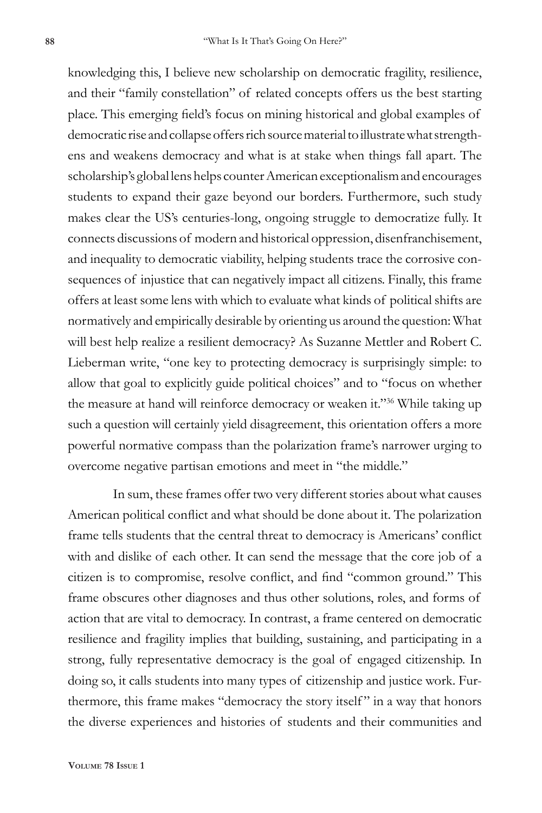knowledging this, I believe new scholarship on democratic fragility, resilience, and their "family constellation" of related concepts offers us the best starting place. This emerging field's focus on mining historical and global examples of democratic rise and collapse offers rich source material to illustrate what strengthens and weakens democracy and what is at stake when things fall apart. The scholarship's global lens helps counter American exceptionalism and encourages students to expand their gaze beyond our borders. Furthermore, such study makes clear the US's centuries-long, ongoing struggle to democratize fully. It connects discussions of modern and historical oppression, disenfranchisement, and inequality to democratic viability, helping students trace the corrosive consequences of injustice that can negatively impact all citizens. Finally, this frame offers at least some lens with which to evaluate what kinds of political shifts are normatively and empirically desirable by orienting us around the question: What will best help realize a resilient democracy? As Suzanne Mettler and Robert C. Lieberman write, "one key to protecting democracy is surprisingly simple: to allow that goal to explicitly guide political choices" and to "focus on whether the measure at hand will reinforce democracy or weaken it."<sup>36</sup> While taking up such a question will certainly yield disagreement, this orientation offers a more powerful normative compass than the polarization frame's narrower urging to overcome negative partisan emotions and meet in "the middle."

In sum, these frames offer two very different stories about what causes American political conflict and what should be done about it. The polarization frame tells students that the central threat to democracy is Americans' conflict with and dislike of each other. It can send the message that the core job of a citizen is to compromise, resolve conflict, and find "common ground." This frame obscures other diagnoses and thus other solutions, roles, and forms of action that are vital to democracy. In contrast, a frame centered on democratic resilience and fragility implies that building, sustaining, and participating in a strong, fully representative democracy is the goal of engaged citizenship. In doing so, it calls students into many types of citizenship and justice work. Furthermore, this frame makes "democracy the story itself " in a way that honors the diverse experiences and histories of students and their communities and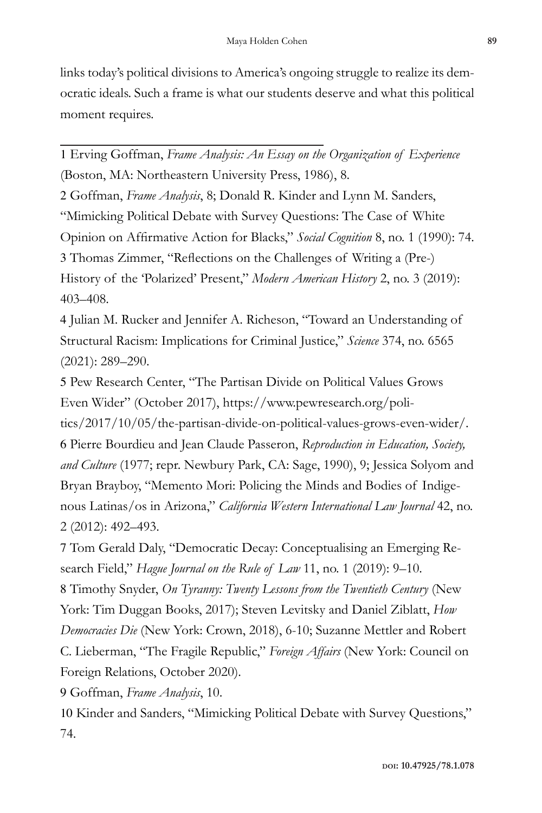links today's political divisions to America's ongoing struggle to realize its democratic ideals. Such a frame is what our students deserve and what this political moment requires.

1 Erving Goffman, *Frame Analysis: An Essay on the Organization of Experience* (Boston, MA: Northeastern University Press, 1986), 8.

2 Goffman, *Frame Analysis*, 8; Donald R. Kinder and Lynn M. Sanders, "Mimicking Political Debate with Survey Questions: The Case of White Opinion on Affirmative Action for Blacks," *Social Cognition* 8, no. 1 (1990): 74. 3 Thomas Zimmer, "Reflections on the Challenges of Writing a (Pre-) History of the 'Polarized' Present," *Modern American History* 2, no. 3 (2019): 403–408.

4 Julian M. Rucker and Jennifer A. Richeson, "Toward an Understanding of Structural Racism: Implications for Criminal Justice," *Science* 374, no. 6565 (2021): 289–290.

5 Pew Research Center, "The Partisan Divide on Political Values Grows Even Wider" (October 2017), https://www.pewresearch.org/poli-

tics/2017/10/05/the-partisan-divide-on-political-values-grows-even-wider/. 6 Pierre Bourdieu and Jean Claude Passeron, *Reproduction in Education, Society, and Culture* (1977; repr. Newbury Park, CA: Sage, 1990), 9; Jessica Solyom and Bryan Brayboy, "Memento Mori: Policing the Minds and Bodies of Indigenous Latinas/os in Arizona," *California Western International Law Journal* 42, no. 2 (2012): 492–493.

7 Tom Gerald Daly, "Democratic Decay: Conceptualising an Emerging Research Field," *Hague Journal on the Rule of Law* 11, no. 1 (2019): 9–10.

8 Timothy Snyder, *On Tyranny: Twenty Lessons from the Twentieth Century* (New York: Tim Duggan Books, 2017); Steven Levitsky and Daniel Ziblatt, *How Democracies Die* (New York: Crown, 2018), 6-10; Suzanne Mettler and Robert C. Lieberman, "The Fragile Republic," *Foreign Affairs* (New York: Council on Foreign Relations, October 2020).

9 Goffman, *Frame Analysis*, 10.

10 Kinder and Sanders, "Mimicking Political Debate with Survey Questions," 74.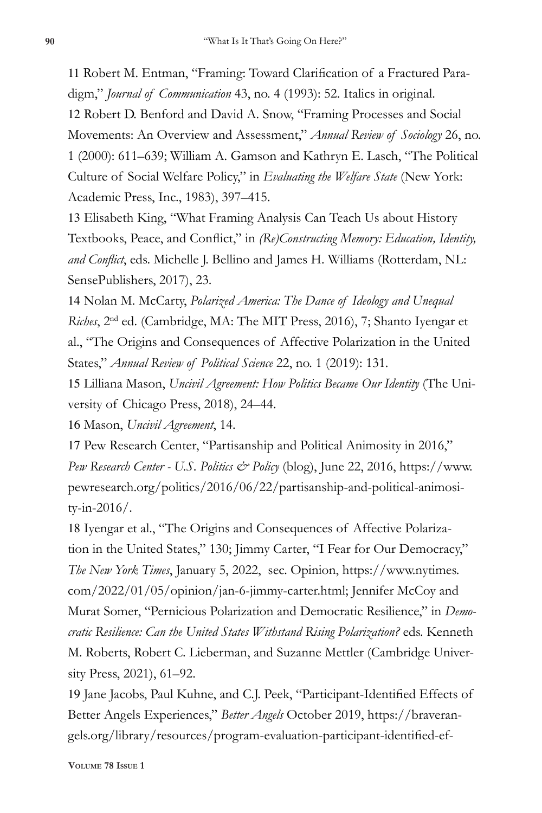11 Robert M. Entman, "Framing: Toward Clarification of a Fractured Paradigm," *Journal of Communication* 43, no. 4 (1993): 52. Italics in original.

12 Robert D. Benford and David A. Snow, "Framing Processes and Social Movements: An Overview and Assessment," *Annual Review of Sociology* 26, no. 1 (2000): 611–639; William A. Gamson and Kathryn E. Lasch, "The Political Culture of Social Welfare Policy," in *Evaluating the Welfare State* (New York: Academic Press, Inc., 1983), 397–415.

13 Elisabeth King, "What Framing Analysis Can Teach Us about History Textbooks, Peace, and Conflict," in *(Re)Constructing Memory: Education, Identity, and Conflict*, eds. Michelle J. Bellino and James H. Williams (Rotterdam, NL: SensePublishers, 2017), 23.

14 Nolan M. McCarty, *Polarized America: The Dance of Ideology and Unequal Riches*, 2nd ed. (Cambridge, MA: The MIT Press, 2016), 7; Shanto Iyengar et al., "The Origins and Consequences of Affective Polarization in the United States," *Annual Review of Political Science* 22, no. 1 (2019): 131.

15 Lilliana Mason, *Uncivil Agreement: How Politics Became Our Identity* (The University of Chicago Press, 2018), 24–44.

16 Mason, *Uncivil Agreement*, 14.

17 Pew Research Center, "Partisanship and Political Animosity in 2016," *Pew Research Center - U.S. Politics & Policy* (blog), June 22, 2016, https://www. pewresearch.org/politics/2016/06/22/partisanship-and-political-animosity-in-2016/.

18 Iyengar et al., "The Origins and Consequences of Affective Polarization in the United States," 130; Jimmy Carter, "I Fear for Our Democracy," *The New York Times*, January 5, 2022, sec. Opinion, https://www.nytimes. com/2022/01/05/opinion/jan-6-jimmy-carter.html; Jennifer McCoy and Murat Somer, "Pernicious Polarization and Democratic Resilience," in *Democratic Resilience: Can the United States Withstand Rising Polarization?* eds. Kenneth M. Roberts, Robert C. Lieberman, and Suzanne Mettler (Cambridge University Press, 2021), 61–92.

19 Jane Jacobs, Paul Kuhne, and C.J. Peek, "Participant-Identified Effects of Better Angels Experiences," *Better Angels* October 2019, https://braverangels.org/library/resources/program-evaluation-participant-identified-ef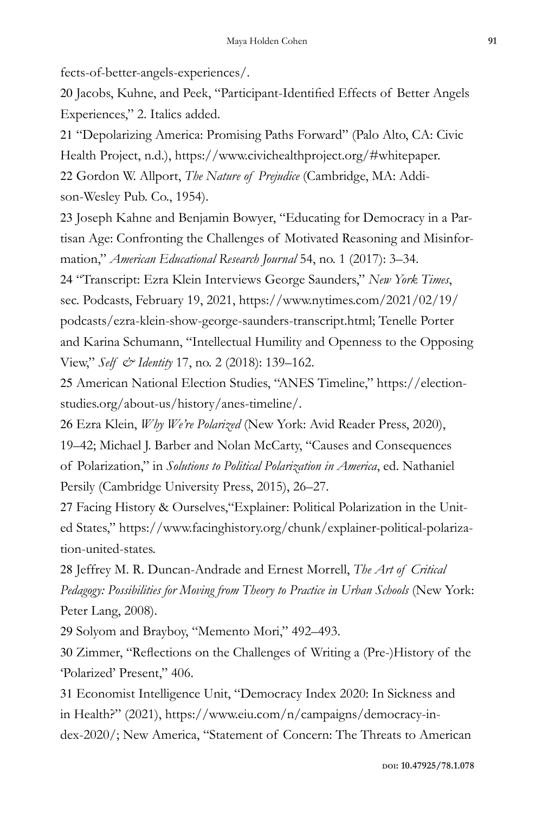fects-of-better-angels-experiences/.

20 Jacobs, Kuhne, and Peek, "Participant-Identified Effects of Better Angels Experiences," 2. Italics added.

21 "Depolarizing America: Promising Paths Forward" (Palo Alto, CA: Civic Health Project, n.d.), https://www.civichealthproject.org/#whitepaper.

22 Gordon W. Allport, *The Nature of Prejudice* (Cambridge, MA: Addison-Wesley Pub. Co., 1954).

23 Joseph Kahne and Benjamin Bowyer, "Educating for Democracy in a Partisan Age: Confronting the Challenges of Motivated Reasoning and Misinformation," *American Educational Research Journal* 54, no. 1 (2017): 3–34.

24 "Transcript: Ezra Klein Interviews George Saunders," *New York Times*, sec. Podcasts, February 19, 2021, https://www.nytimes.com/2021/02/19/ podcasts/ezra-klein-show-george-saunders-transcript.html; Tenelle Porter and Karina Schumann, "Intellectual Humility and Openness to the Opposing View," *Self & Identity* 17, no. 2 (2018): 139–162.

25 American National Election Studies, "ANES Timeline," https://electionstudies.org/about-us/history/anes-timeline/.

26 Ezra Klein, *Why We're Polarized* (New York: Avid Reader Press, 2020), 19–42; Michael J. Barber and Nolan McCarty, "Causes and Consequences of Polarization," in *Solutions to Political Polarization in America*, ed. Nathaniel Persily (Cambridge University Press, 2015), 26–27.

27 Facing History & Ourselves,"Explainer: Political Polarization in the United States," https://www.facinghistory.org/chunk/explainer-political-polarization-united-states.

28 Jeffrey M. R. Duncan-Andrade and Ernest Morrell, *The Art of Critical Pedagogy: Possibilities for Moving from Theory to Practice in Urban Schools* (New York: Peter Lang, 2008).

29 Solyom and Brayboy, "Memento Mori," 492–493.

30 Zimmer, "Reflections on the Challenges of Writing a (Pre-)History of the 'Polarized' Present," 406.

31 Economist Intelligence Unit, "Democracy Index 2020: In Sickness and in Health?" (2021), https://www.eiu.com/n/campaigns/democracy-index-2020/; New America, "Statement of Concern: The Threats to American